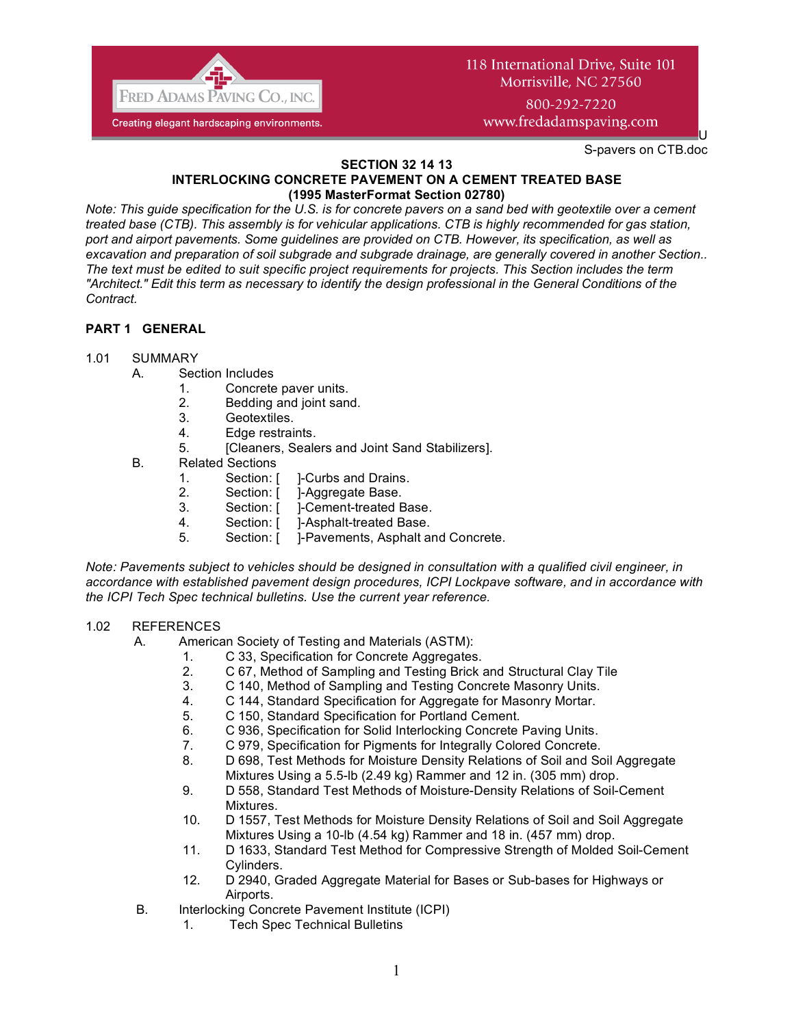

# 118 International Drive, Suite 101 Morrisville, NC 27560 800-292-7220

www.fredadamspaving.com

S-pavers on CTB.doc

U

#### **SECTION 32 14 13 INTERLOCKING CONCRETE PAVEMENT ON A CEMENT TREATED BASE (1995 MasterFormat Section 02780)**

*Note: This guide specification for the U.S. is for concrete pavers on a sand bed with geotextile over a cement treated base (CTB). This assembly is for vehicular applications. CTB is highly recommended for gas station, port and airport pavements. Some guidelines are provided on CTB. However, its specification, as well as excavation and preparation of soil subgrade and subgrade drainage, are generally covered in another Section.. The text must be edited to suit specific project requirements for projects. This Section includes the term "Architect." Edit this term as necessary to identify the design professional in the General Conditions of the Contract.*

# **PART 1 GENERAL**

### 1.01 SUMMARY

- A. Section Includes<br>1. Concrete
	- Concrete paver units.
	- 2. Bedding and joint sand.
	- 3. Geotextiles.
	- 4. Edge restraints.
	- 5. [Cleaners, Sealers and Joint Sand Stabilizers].
- B. Related Sections
	- 1. Section: [ ]-Curbs and Drains.
	- 2. Section: [ ]-Aggregate Base.<br>3. Section: [ ]-Cement-treated E
	- 3. Section: [ ]-Cement-treated Base.
	- 4. Section: [ ]-Asphalt-treated Base.
	- 5. Section: [ ]-Pavements, Asphalt and Concrete.

*Note: Pavements subject to vehicles should be designed in consultation with a qualified civil engineer, in accordance with established pavement design procedures, ICPI Lockpave software, and in accordance with the ICPI Tech Spec technical bulletins. Use the current year reference.*

### 1.02 REFERENCES

- A. American Society of Testing and Materials (ASTM):
	- 1. C 33, Specification for Concrete Aggregates.
	- 2. C 67, Method of Sampling and Testing Brick and Structural Clay Tile
	- 3. C 140, Method of Sampling and Testing Concrete Masonry Units.
	- 4. C 144, Standard Specification for Aggregate for Masonry Mortar.
	- 5. C 150, Standard Specification for Portland Cement.
	- 6. C 936, Specification for Solid Interlocking Concrete Paving Units.
	- 7. C 979, Specification for Pigments for Integrally Colored Concrete.
	- 8. D 698, Test Methods for Moisture Density Relations of Soil and Soil Aggregate Mixtures Using a 5.5-lb (2.49 kg) Rammer and 12 in. (305 mm) drop.
	- 9. D 558, Standard Test Methods of Moisture-Density Relations of Soil-Cement Mixtures.
	- 10. D 1557, Test Methods for Moisture Density Relations of Soil and Soil Aggregate Mixtures Using a 10-lb (4.54 kg) Rammer and 18 in. (457 mm) drop.
	- 11. D 1633, Standard Test Method for Compressive Strength of Molded Soil-Cement Cylinders.
	- 12. D 2940, Graded Aggregate Material for Bases or Sub-bases for Highways or Airports.
- B. Interlocking Concrete Pavement Institute (ICPI)
	- 1. Tech Spec Technical Bulletins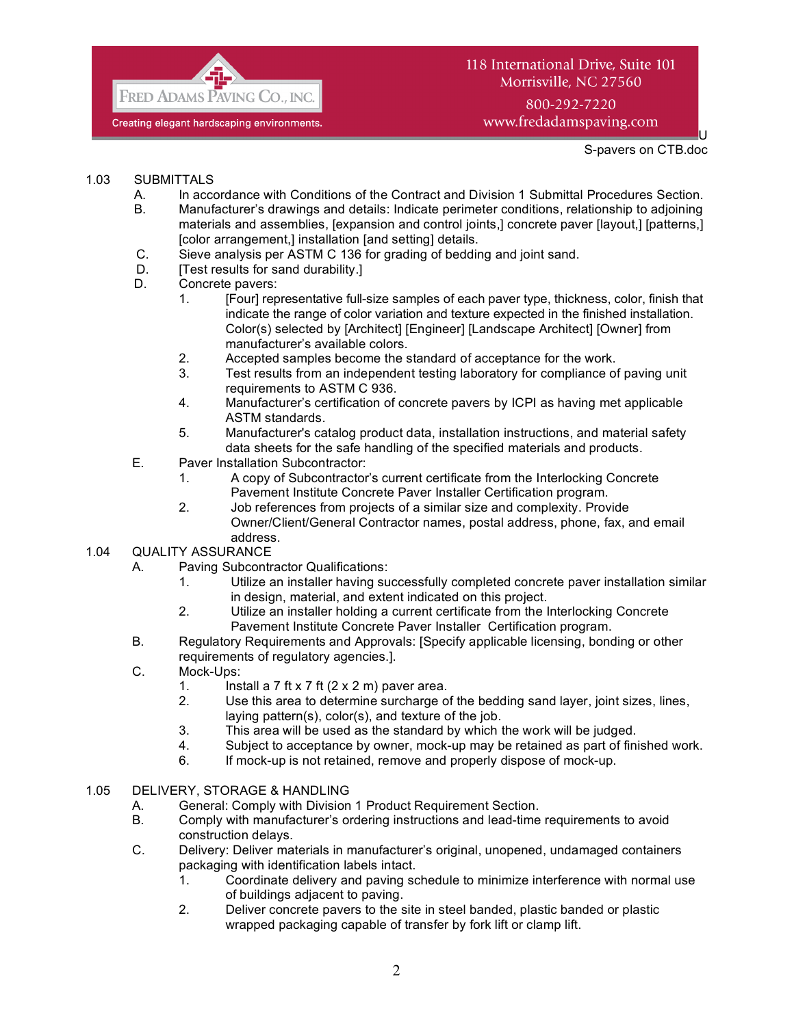

# 118 International Drive, Suite 101 Morrisville, NC 27560 800-292-7220

www.fredadamspaving.com

U S-pavers on CTB.doc

### 1.03 SUBMITTALS

- A. In accordance with Conditions of the Contract and Division 1 Submittal Procedures Section.
- B. Manufacturer's drawings and details: Indicate perimeter conditions, relationship to adjoining materials and assemblies, [expansion and control joints,] concrete paver [layout,] [patterns,] [color arrangement,] installation [and setting] details.
- C. Sieve analysis per ASTM C 136 for grading of bedding and joint sand.
- D. [Test results for sand durability.]
- D. Concrete pavers:
	- 1. [Four] representative full-size samples of each paver type, thickness, color, finish that indicate the range of color variation and texture expected in the finished installation. Color(s) selected by [Architect] [Engineer] [Landscape Architect] [Owner] from manufacturer's available colors.
	- 2. Accepted samples become the standard of acceptance for the work.
	- 3. Test results from an independent testing laboratory for compliance of paving unit requirements to ASTM C 936.
	- 4. Manufacturer's certification of concrete pavers by ICPI as having met applicable ASTM standards.
	- 5. Manufacturer's catalog product data, installation instructions, and material safety data sheets for the safe handling of the specified materials and products.
- E. Paver Installation Subcontractor:
	- 1. A copy of Subcontractor's current certificate from the Interlocking Concrete Pavement Institute Concrete Paver Installer Certification program.
	- 2. Job references from projects of a similar size and complexity. Provide Owner/Client/General Contractor names, postal address, phone, fax, and email address.

# 1.04 QUALITY ASSURANCE

- A. Paving Subcontractor Qualifications:
	- 1. Utilize an installer having successfully completed concrete paver installation similar in design, material, and extent indicated on this project.
	- 2. Utilize an installer holding a current certificate from the Interlocking Concrete Pavement Institute Concrete Paver Installer Certification program.
- B. Regulatory Requirements and Approvals: [Specify applicable licensing, bonding or other requirements of regulatory agencies.].
- C. Mock-Ups:
	- 1. Install a 7 ft x 7 ft  $(2 \times 2 \text{ m})$  paver area.
	- 2. Use this area to determine surcharge of the bedding sand layer, joint sizes, lines, laying pattern(s), color(s), and texture of the job.
	- 3. This area will be used as the standard by which the work will be judged.
	- 4. Subject to acceptance by owner, mock-up may be retained as part of finished work.
	- 6. If mock-up is not retained, remove and properly dispose of mock-up.

### 1.05 DELIVERY, STORAGE & HANDLING

- A. General: Comply with Division 1 Product Requirement Section.<br>B. Comply with manufacturer's ordering instructions and lead-time
- B. Comply with manufacturer's ordering instructions and lead-time requirements to avoid construction delays.
- C. Delivery: Deliver materials in manufacturer's original, unopened, undamaged containers packaging with identification labels intact.
	- 1. Coordinate delivery and paving schedule to minimize interference with normal use of buildings adjacent to paving.
	- 2. Deliver concrete pavers to the site in steel banded, plastic banded or plastic wrapped packaging capable of transfer by fork lift or clamp lift.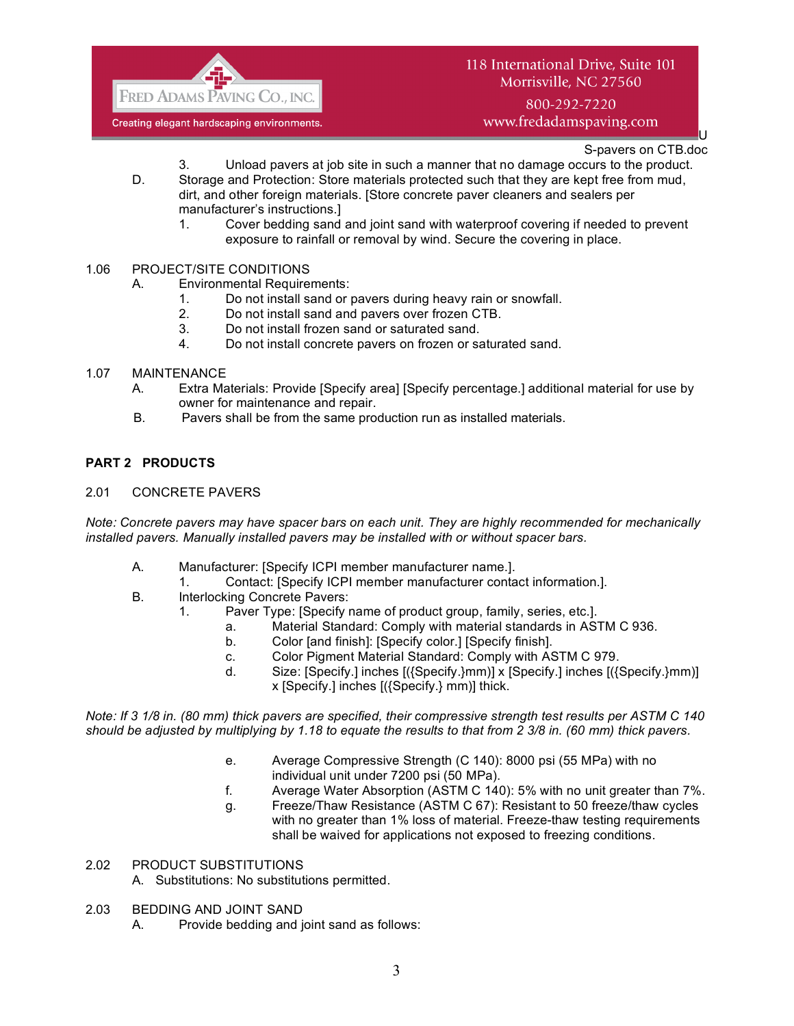

# 118 International Drive, Suite 101 Morrisville, NC 27560

800-292-7220 www.fredadamspaving.com

> U S-pavers on CTB.doc

- 3. Unload pavers at job site in such a manner that no damage occurs to the product.
- D. Storage and Protection: Store materials protected such that they are kept free from mud, dirt, and other foreign materials. [Store concrete paver cleaners and sealers per manufacturer's instructions.]
	- 1. Cover bedding sand and joint sand with waterproof covering if needed to prevent exposure to rainfall or removal by wind. Secure the covering in place.
- 1.06 PROJECT/SITE CONDITIONS
	- A. Environmental Requirements:
		- 1. Do not install sand or pavers during heavy rain or snowfall.
		- 2. Do not install sand and pavers over frozen CTB.
		- 3. Do not install frozen sand or saturated sand.
		- 4. Do not install concrete pavers on frozen or saturated sand.
- 1.07 MAINTENANCE
	- A. Extra Materials: Provide [Specify area] [Specify percentage.] additional material for use by owner for maintenance and repair.
	- B. Pavers shall be from the same production run as installed materials.

### **PART 2 PRODUCTS**

2.01 CONCRETE PAVERS

*Note: Concrete pavers may have spacer bars on each unit. They are highly recommended for mechanically installed pavers. Manually installed pavers may be installed with or without spacer bars.*

- A. Manufacturer: [Specify ICPI member manufacturer name.].
	- 1. Contact: [Specify ICPI member manufacturer contact information.].
- B. Interlocking Concrete Pavers:
	- 1. Paver Type: [Specify name of product group, family, series, etc.].
		- a. Material Standard: Comply with material standards in ASTM C 936.
		- b. Color [and finish]: [Specify color.] [Specify finish].
		- c. Color Pigment Material Standard: Comply with ASTM C 979.
		- d. Size: [Specify.] inches [({Specify.}mm)] x [Specify.] inches [({Specify.}mm)] x [Specify.] inches [({Specify.} mm)] thick.

*Note: If 3 1/8 in. (80 mm) thick pavers are specified, their compressive strength test results per ASTM C 140 should be adjusted by multiplying by 1.18 to equate the results to that from 2 3/8 in. (60 mm) thick pavers.*

- e. Average Compressive Strength (C 140): 8000 psi (55 MPa) with no individual unit under 7200 psi (50 MPa).
- f. Average Water Absorption (ASTM C 140): 5% with no unit greater than 7%.
- g. Freeze/Thaw Resistance (ASTM C 67): Resistant to 50 freeze/thaw cycles with no greater than 1% loss of material. Freeze-thaw testing requirements shall be waived for applications not exposed to freezing conditions.

#### 2.02 PRODUCT SUBSTITUTIONS

A. Substitutions: No substitutions permitted.

- 2.03 BEDDING AND JOINT SAND
	- A. Provide bedding and joint sand as follows: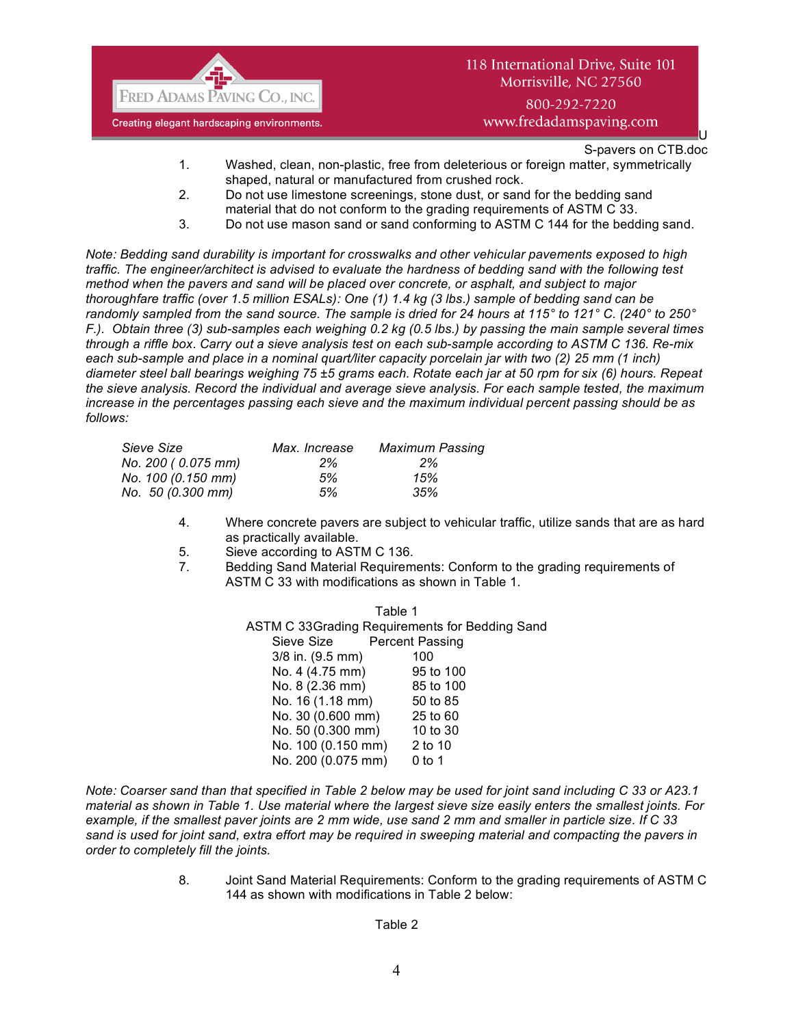

www.fredadamspaving.com

U S-pavers on CTB.doc

- 1. Washed, clean, non-plastic, free from deleterious or foreign matter, symmetrically shaped, natural or manufactured from crushed rock.
- 2. Do not use limestone screenings, stone dust, or sand for the bedding sand material that do not conform to the grading requirements of ASTM C 33.
- 3. Do not use mason sand or sand conforming to ASTM C 144 for the bedding sand.

*Note: Bedding sand durability is important for crosswalks and other vehicular pavements exposed to high traffic. The engineer/architect is advised to evaluate the hardness of bedding sand with the following test method when the pavers and sand will be placed over concrete, or asphalt, and subject to major thoroughfare traffic (over 1.5 million ESALs): One (1) 1.4 kg (3 lbs.) sample of bedding sand can be randomly sampled from the sand source. The sample is dried for 24 hours at 115° to 121° C. (240° to 250° F.). Obtain three (3) sub-samples each weighing 0.2 kg (0.5 lbs.) by passing the main sample several times through a riffle box. Carry out a sieve analysis test on each sub-sample according to ASTM C 136. Re-mix each sub-sample and place in a nominal quart/liter capacity porcelain jar with two (2) 25 mm (1 inch) diameter steel ball bearings weighing 75 ±5 grams each. Rotate each jar at 50 rpm for six (6) hours. Repeat the sieve analysis. Record the individual and average sieve analysis. For each sample tested, the maximum increase in the percentages passing each sieve and the maximum individual percent passing should be as follows:*

| Sieve Size         | Max. Increase | <b>Maximum Passing</b> |
|--------------------|---------------|------------------------|
| No. 200 (0.075 mm) | 2%            | 2%                     |
| No. 100 (0.150 mm) | 5%            | 15%                    |
| No. 50 (0.300 mm)  | 5%            | 35%                    |

- 4. Where concrete pavers are subject to vehicular traffic, utilize sands that are as hard as practically available.
- 5. Sieve according to ASTM C 136.
- 7. Bedding Sand Material Requirements: Conform to the grading requirements of ASTM C 33 with modifications as shown in Table 1.

Table 1 ASTM C 33Grading Requirements for Bedding Sand Sieve Size Percent Passing 3/8 in. (9.5 mm) 100 No. 4 (4.75 mm) 95 to 100 No. 8 (2.36 mm) 85 to 100 No. 16 (1.18 mm) 50 to 85 No. 30 (0.600 mm) 25 to 60 No. 50 (0.300 mm) 10 to 30 No. 100 (0.150 mm) 2 to 10 No. 200 (0.075 mm) 0 to 1

*Note: Coarser sand than that specified in Table 2 below may be used for joint sand including C 33 or A23.1 material as shown in Table 1. Use material where the largest sieve size easily enters the smallest joints. For example, if the smallest paver joints are 2 mm wide, use sand 2 mm and smaller in particle size. If C 33 sand is used for joint sand, extra effort may be required in sweeping material and compacting the pavers in order to completely fill the joints.* 

> 8. Joint Sand Material Requirements: Conform to the grading requirements of ASTM C 144 as shown with modifications in Table 2 below:

#### Table 2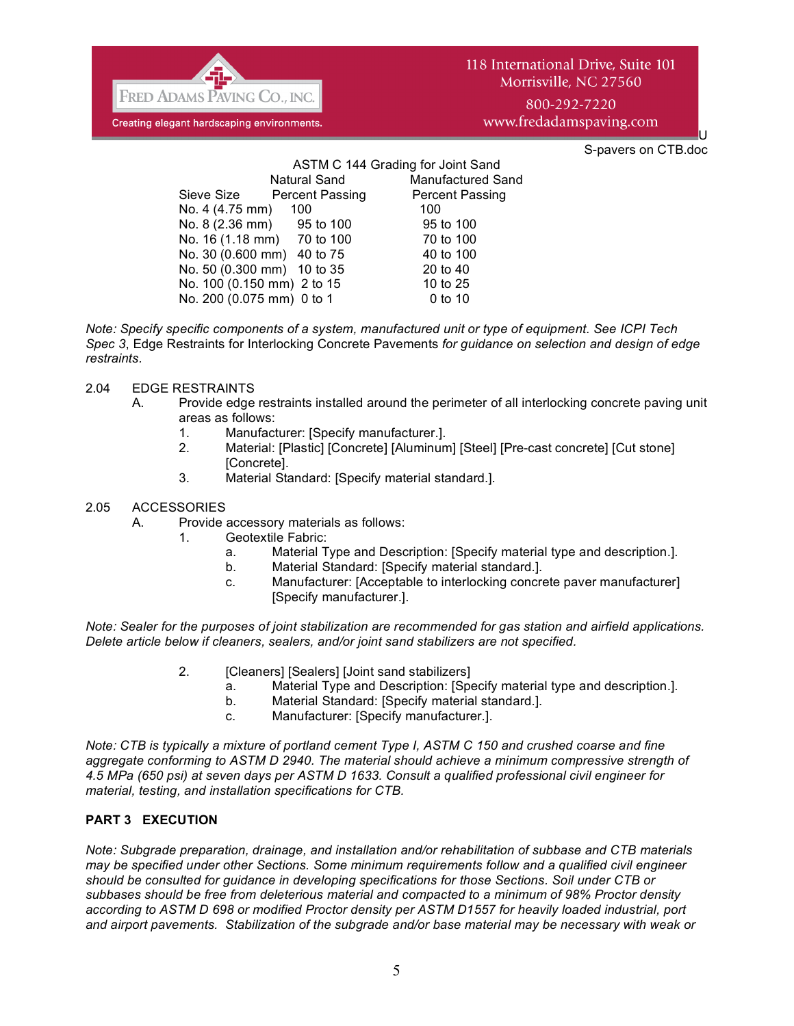

S-pavers on CTB.doc

U

|                            |                     | ASTM C 144 Grading for Joint Sand |
|----------------------------|---------------------|-----------------------------------|
|                            | <b>Natural Sand</b> | <b>Manufactured Sand</b>          |
| Sieve Size Percent Passing |                     | <b>Percent Passing</b>            |
| No. 4 (4.75 mm)            | 100                 | 100                               |
| No. 8 (2.36 mm) 95 to 100  |                     | 95 to 100                         |
| No. 16 (1.18 mm) 70 to 100 |                     | 70 to 100                         |
| No. 30 (0.600 mm) 40 to 75 |                     | 40 to 100                         |
| No. 50 (0.300 mm) 10 to 35 |                     | 20 to 40                          |
| No. 100 (0.150 mm) 2 to 15 |                     | 10 to 25                          |
| No. 200 (0.075 mm) 0 to 1  |                     | 0 to 10                           |
|                            |                     |                                   |

*Note: Specify specific components of a system, manufactured unit or type of equipment. See ICPI Tech Spec 3*, Edge Restraints for Interlocking Concrete Pavements *for guidance on selection and design of edge restraints.*

#### 2.04 EDGE RESTRAINTS

- A. Provide edge restraints installed around the perimeter of all interlocking concrete paving unit areas as follows:
	- 1. Manufacturer: [Specify manufacturer.].
	- 2. Material: [Plastic] [Concrete] [Aluminum] [Steel] [Pre-cast concrete] [Cut stone] [Concrete].
	- 3. Material Standard: [Specify material standard.].

### 2.05 ACCESSORIES

- A. Provide accessory materials as follows:
	- 1. Geotextile Fabric:
		- a. Material Type and Description: [Specify material type and description.].
		- b. Material Standard: [Specify material standard.].
		- c. Manufacturer: [Acceptable to interlocking concrete paver manufacturer] [Specify manufacturer.].

*Note: Sealer for the purposes of joint stabilization are recommended for gas station and airfield applications. Delete article below if cleaners, sealers, and/or joint sand stabilizers are not specified.*

- 2. [Cleaners] [Sealers] [Joint sand stabilizers]
	- a. Material Type and Description: [Specify material type and description.].
	- b. Material Standard: [Specify material standard.].
	- c. Manufacturer: [Specify manufacturer.].

*Note: CTB is typically a mixture of portland cement Type I, ASTM C 150 and crushed coarse and fine aggregate conforming to ASTM D 2940. The material should achieve a minimum compressive strength of 4.5 MPa (650 psi) at seven days per ASTM D 1633. Consult a qualified professional civil engineer for material, testing, and installation specifications for CTB.* 

### **PART 3 EXECUTION**

*Note: Subgrade preparation, drainage, and installation and/or rehabilitation of subbase and CTB materials may be specified under other Sections. Some minimum requirements follow and a qualified civil engineer should be consulted for guidance in developing specifications for those Sections. Soil under CTB or subbases should be free from deleterious material and compacted to a minimum of 98% Proctor density according to ASTM D 698 or modified Proctor density per ASTM D1557 for heavily loaded industrial, port and airport pavements. Stabilization of the subgrade and/or base material may be necessary with weak or*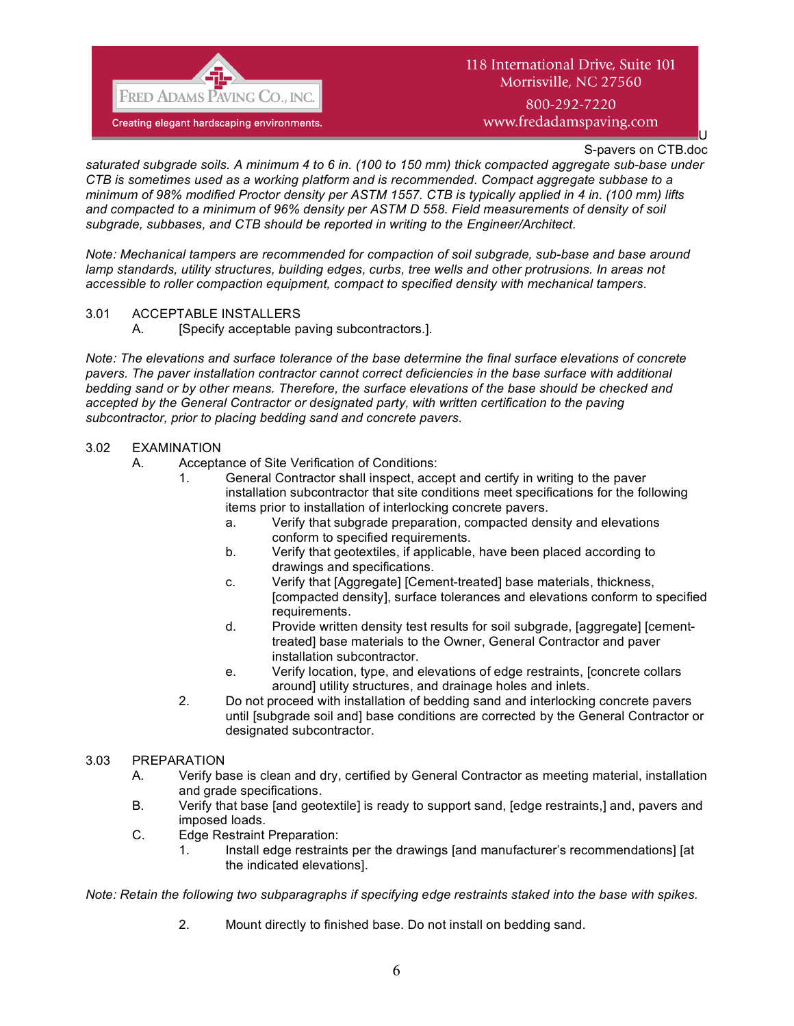

# 118 International Drive, Suite 101 Morrisville, NC 27560 800-292-7220

www.fredadamspaving.com

S-pavers on CTB.doc

U

*saturated subgrade soils. A minimum 4 to 6 in. (100 to 150 mm) thick compacted aggregate sub-base under CTB is sometimes used as a working platform and is recommended. Compact aggregate subbase to a minimum of 98% modified Proctor density per ASTM 1557. CTB is typically applied in 4 in. (100 mm) lifts and compacted to a minimum of 96% density per ASTM D 558. Field measurements of density of soil subgrade, subbases, and CTB should be reported in writing to the Engineer/Architect.*

*Note: Mechanical tampers are recommended for compaction of soil subgrade, sub-base and base around lamp standards, utility structures, building edges, curbs, tree wells and other protrusions. In areas not accessible to roller compaction equipment, compact to specified density with mechanical tampers.*

- 3.01 ACCEPTABLE INSTALLERS
	- A. [Specify acceptable paving subcontractors.].

*Note: The elevations and surface tolerance of the base determine the final surface elevations of concrete pavers. The paver installation contractor cannot correct deficiencies in the base surface with additional bedding sand or by other means. Therefore, the surface elevations of the base should be checked and accepted by the General Contractor or designated party, with written certification to the paving subcontractor, prior to placing bedding sand and concrete pavers.*

### 3.02 EXAMINATION

- A. Acceptance of Site Verification of Conditions:
	- 1. General Contractor shall inspect, accept and certify in writing to the paver installation subcontractor that site conditions meet specifications for the following items prior to installation of interlocking concrete pavers.
		- a. Verify that subgrade preparation, compacted density and elevations conform to specified requirements.
		- b. Verify that geotextiles, if applicable, have been placed according to drawings and specifications.
		- c. Verify that [Aggregate] [Cement-treated] base materials, thickness, [compacted density], surface tolerances and elevations conform to specified requirements.
		- d. Provide written density test results for soil subgrade, [aggregate] [cementtreated] base materials to the Owner, General Contractor and paver installation subcontractor.
		- e. Verify location, type, and elevations of edge restraints, [concrete collars around] utility structures, and drainage holes and inlets.
	- 2. Do not proceed with installation of bedding sand and interlocking concrete pavers until [subgrade soil and] base conditions are corrected by the General Contractor or designated subcontractor.

#### 3.03 PREPARATION

- A. Verify base is clean and dry, certified by General Contractor as meeting material, installation and grade specifications.
- B. Verify that base [and geotextile] is ready to support sand, [edge restraints,] and, pavers and imposed loads.
- C. Edge Restraint Preparation:
	- 1. Install edge restraints per the drawings [and manufacturer's recommendations] [at the indicated elevations].

*Note: Retain the following two subparagraphs if specifying edge restraints staked into the base with spikes.*

2. Mount directly to finished base. Do not install on bedding sand.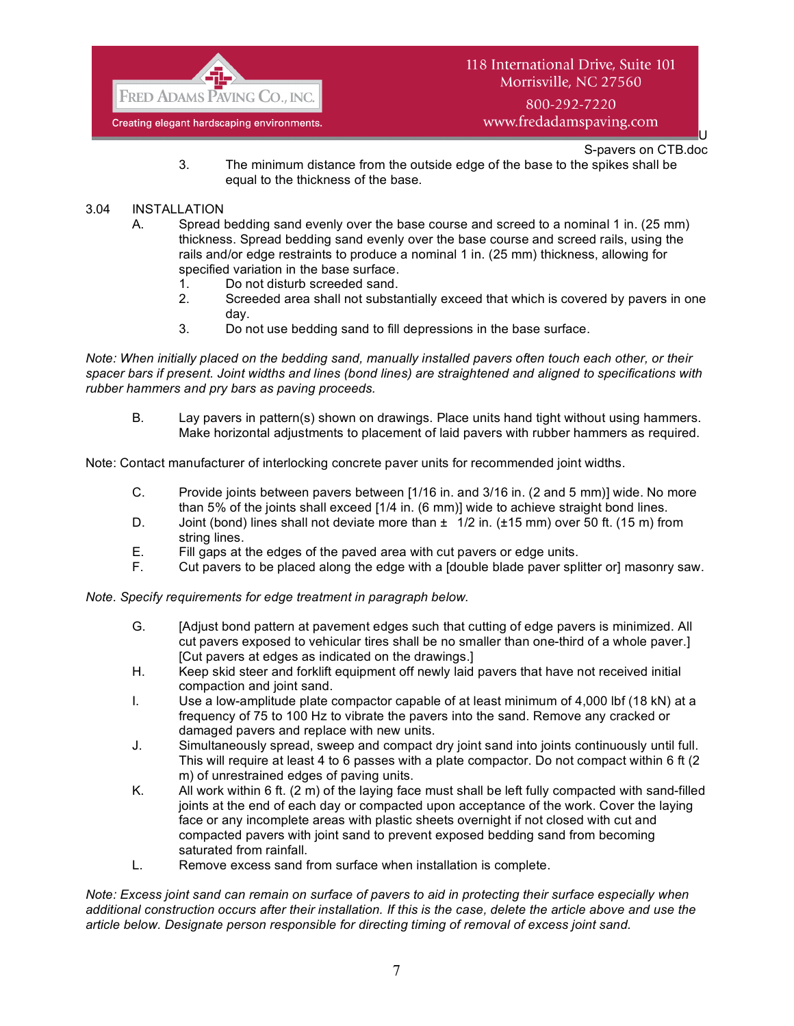

800-292-7220 www.fredadamspaving.com

> U S-pavers on CTB.doc

3. The minimum distance from the outside edge of the base to the spikes shall be equal to the thickness of the base.

#### 3.04 INSTALLATION

- A. Spread bedding sand evenly over the base course and screed to a nominal 1 in. (25 mm) thickness. Spread bedding sand evenly over the base course and screed rails, using the rails and/or edge restraints to produce a nominal 1 in. (25 mm) thickness, allowing for specified variation in the base surface.
	- 1. Do not disturb screeded sand.
	- 2. Screeded area shall not substantially exceed that which is covered by pavers in one day.
	- 3. Do not use bedding sand to fill depressions in the base surface.

*Note: When initially placed on the bedding sand, manually installed pavers often touch each other, or their spacer bars if present. Joint widths and lines (bond lines) are straightened and aligned to specifications with rubber hammers and pry bars as paving proceeds.*

B. Lay pavers in pattern(s) shown on drawings. Place units hand tight without using hammers. Make horizontal adjustments to placement of laid pavers with rubber hammers as required.

Note: Contact manufacturer of interlocking concrete paver units for recommended joint widths.

- C. Provide joints between pavers between [1/16 in. and 3/16 in. (2 and 5 mm)] wide. No more than 5% of the joints shall exceed [1/4 in. (6 mm)] wide to achieve straight bond lines.
- D. Joint (bond) lines shall not deviate more than  $\pm 1/2$  in. ( $\pm 15$  mm) over 50 ft. (15 m) from string lines.
- E. Fill gaps at the edges of the paved area with cut pavers or edge units.
- F. Cut pavers to be placed along the edge with a [double blade paver splitter or] masonry saw.

*Note. Specify requirements for edge treatment in paragraph below.*

- G. [Adjust bond pattern at pavement edges such that cutting of edge pavers is minimized. All cut pavers exposed to vehicular tires shall be no smaller than one-third of a whole paver.] [Cut pavers at edges as indicated on the drawings.]
- H. Keep skid steer and forklift equipment off newly laid pavers that have not received initial compaction and joint sand.
- I. Use a low-amplitude plate compactor capable of at least minimum of 4,000 lbf (18 kN) at a frequency of 75 to 100 Hz to vibrate the pavers into the sand. Remove any cracked or damaged pavers and replace with new units.
- J. Simultaneously spread, sweep and compact dry joint sand into joints continuously until full. This will require at least 4 to 6 passes with a plate compactor. Do not compact within 6 ft (2 m) of unrestrained edges of paving units.
- K. All work within 6 ft. (2 m) of the laying face must shall be left fully compacted with sand-filled joints at the end of each day or compacted upon acceptance of the work. Cover the laying face or any incomplete areas with plastic sheets overnight if not closed with cut and compacted pavers with joint sand to prevent exposed bedding sand from becoming saturated from rainfall.
- L. Remove excess sand from surface when installation is complete.

*Note: Excess joint sand can remain on surface of pavers to aid in protecting their surface especially when additional construction occurs after their installation. If this is the case, delete the article above and use the article below. Designate person responsible for directing timing of removal of excess joint sand.*